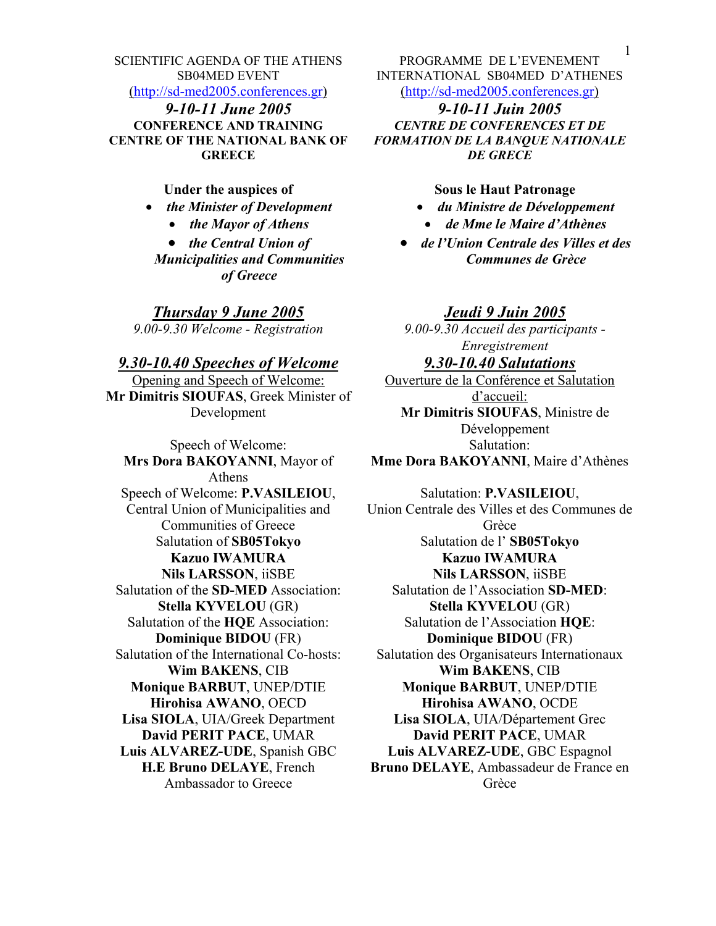SCIENTIFIC AGENDA OF THE ATHENS SB04MED EVENT

([http://sd-med2005.conferences.gr](http://sd-med2005.conferences.gr/))

*9-10-11 June 2005 9-10-11 Juin 2005* **CONFERENCE AND TRAINING CENTRE OF THE NATIONAL BANK OF GREECE** 

**Under the auspices of** 

- *the Minister of Development* 
	- *the Mayor of Athens*

• *the Central Union of Municipalities and Communities of Greece*

*Thursday 9 June 2005 Jeudi 9 Juin 2005*

# *9.30-10.40 Speeches of Welcome*

Opening and Speech of Welcome: **Mr Dimitris SIOUFAS**, Greek Minister of Development

Speech of Welcome: **Mrs Dora BΑΚΟΥΑΝΝΙ**, Mayor of Athens Speech of Welcome: **P.VASILEIOU**, Central Union of Municipalities and Communities of Greece Salutation of **SB05Tokyo Kazuo IWAMURA Nils LARSSON**, iiSBE Salutation of the **SD-MED** Association: **Stella KYVELOU** (GR) Salutation of the **HQE** Association: **Dominique BIDOU** (FR) Salutation of the International Co-hosts: **Wim BAKENS**, CIB **Monique BARBUT**, UNEP/DTIE **Hirohisa AWANO**, OECD **Lisa SIOLA**, UIA/Greek Department **David PERIT PACE**, UMAR **Luis ALVAREZ-UDE**, Spanish GBC **H.E Bruno DELAYE**, French Ambassador to Greece

PROGRAMME DE L'EVENEMENT INTERNATIONAL SB04MED D'ATHENES ([http://sd-med2005.conferences.gr](http://sd-med2005.conferences.gr/))

*CENTRE DE CONFERENCES ET DE FORMATION DE LA BANQUE NATIONALE DE GRECE*

### **Sous le Haut Patronage**

- *du Ministre de Développement*
- *de Mme le Maire d'Athènes*
- *de l'Union Centrale des Villes et des Communes de Grèce*

*9.00-9.30 Welcome - Registration 9.00-9.30 Accueil des participants - Enregistrement*

# *9.30-10.40 Salutations*

Ouverture de la Conférence et Salutation d'accueil: **Mr Dimitris SIOUFAS**, Ministre de Développement Salutation: **Mme Dora BAKOYANNI**, Maire d'Athènes

#### Salutation: **P.VASILEIOU**,

Union Centrale des Villes et des Communes de Grèce Salutation de l' **SB05Tokyo Kazuo IWAMURA Nils LARSSON**, iiSBE Salutation de l'Association **SD-MED**: **Stella KYVELOU** (GR) Salutation de l'Association **HQE**: **Dominique BIDOU** (FR) Salutation des Organisateurs Internationaux **Wim BAKENS**, CIB **Monique BARBUT**, UNEP/DTIE **Hirohisa AWANO**, OCDE **Lisa SIOLA**, UIA/Département Grec **David PERIT PACE**, UMAR **Luis ALVAREZ-UDE**, GBC Espagnol **Bruno DELAYE**, Ambassadeur de France en Grèce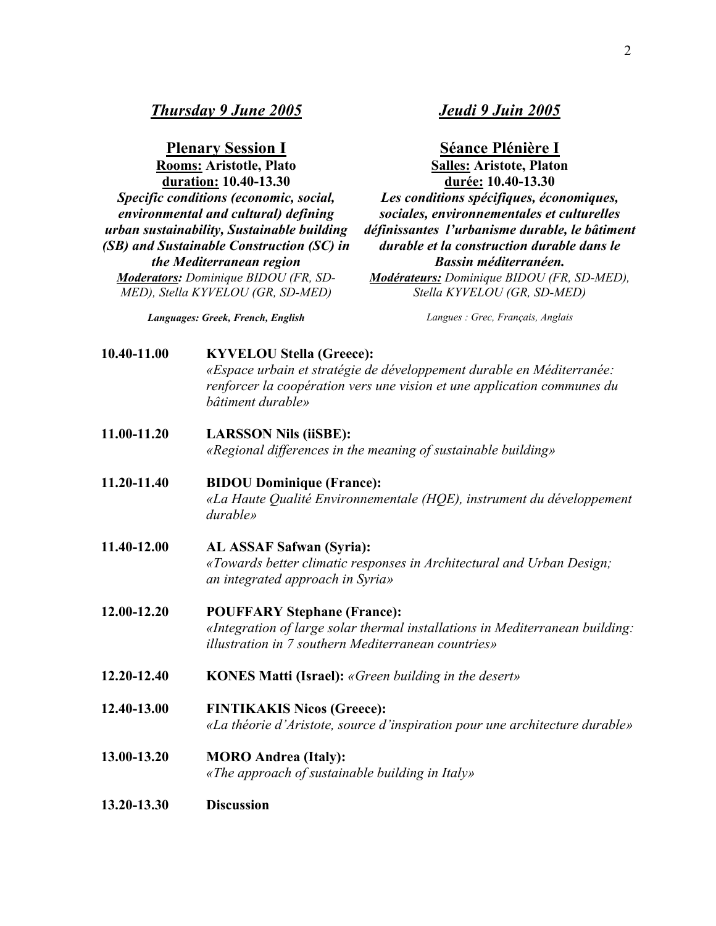**Plenary Session I Séance Plénière I Rooms: Aristotle, Plato duration: 10.40-13.30** *Specific conditions (economic, social, environmental and cultural) defining urban sustainability, Sustainable building (SB) and Sustainable Construction (SC) in the Mediterranean region Moderators: Dominique BIDOU (FR, SD-MED), Stella KYVELOU (GR, SD-MED)*

*Languages: Greek, French, English*

**Salles: Aristote, Platon durée: 10.40-13.30** *Les conditions spécifiques, économiques, sociales, environnementales et culturelles définissantes l'urbanisme durable, le bâtiment durable et la construction durable dans le Bassin méditerranéen. Modérateurs: Dominique BIDOU (FR, SD-MED), Stella KYVELOU (GR, SD-MED)* 

*Langues : Grec, Français, Anglais*

| 10.40-11.00 | <b>KYVELOU Stella (Greece):</b>                                         |
|-------------|-------------------------------------------------------------------------|
|             | «Espace urbain et stratégie de développement durable en Méditerranée:   |
|             | renforcer la coopération vers une vision et une application communes du |
|             | bâtiment durable»                                                       |
|             |                                                                         |

- **11.00-11.20 LARSSON Nils (iiSBE):**  *«Regional differences in the meaning of sustainable building»*
- **11.20-11.40 BIDOU Dominique (France):**  *«La Haute Qualité Environnementale (HQE), instrument du développement durable»*
- **11.40-12.00 AL ASSAF Safwan (Syria):**  *«Towards better climatic responses in Architectural and Urban Design; an integrated approach in Syria»*
- **12.00-12.20 POUFFARY Stephane (France):**  *«Integration of large solar thermal installations in Mediterranean building: illustration in 7 southern Mediterranean countries»*
- **12.20-12.40 KONES Matti (Israel):** *«Green building in the desert»*
- **12.40-13.00 FINTIKAKIS Nicos (Greece):**  *«La théorie d'Aristote, source d'inspiration pour une architecture durable»*
- **13.00-13.20 MORO Andrea (Italy):**  *«Τhe approach of sustainable building in Italy»*
- **13.20-13.30 Discussion**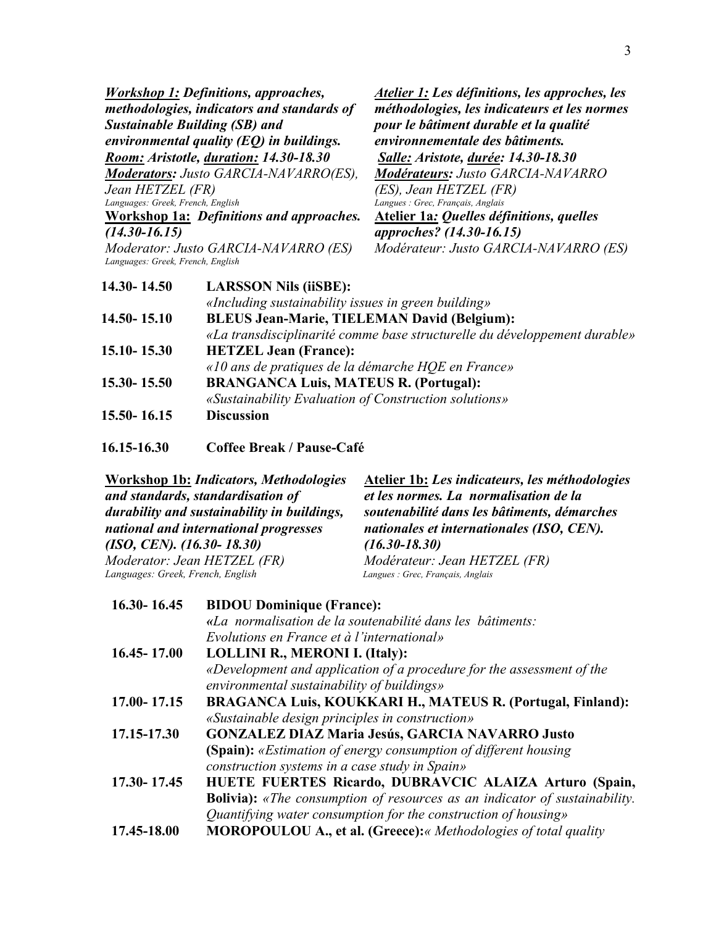| <i><b>Workshop 1: Definitions, approaches,</b></i> |                                                       | Atelier 1: Les définitions, les approches, les                            |
|----------------------------------------------------|-------------------------------------------------------|---------------------------------------------------------------------------|
| methodologies, indicators and standards of         |                                                       | méthodologies, les indicateurs et les normes                              |
|                                                    | <b>Sustainable Building (SB) and</b>                  | pour le bâtiment durable et la qualité                                    |
|                                                    | environmental quality $(EQ)$ in buildings.            | environnementale des bâtiments.                                           |
|                                                    | Room: Aristotle, duration: 14.30-18.30                | <b>Salle: Aristote, durée: 14.30-18.30</b>                                |
|                                                    | <b>Moderators:</b> Justo GARCIA-NAVARRO(ES),          | <b>Modérateurs: Justo GARCIA-NAVARRO</b>                                  |
| Jean HETZEL (FR)                                   |                                                       | (ES), Jean HETZEL (FR)                                                    |
| Languages: Greek, French, English                  |                                                       | Langues : Grec, Français, Anglais                                         |
|                                                    | <b>Workshop 1a: Definitions and approaches.</b>       | <b>Atelier 1a: Quelles définitions, quelles</b>                           |
| $(14.30 - 16.15)$                                  |                                                       | approches? (14.30-16.15)                                                  |
| Languages: Greek, French, English                  | Moderator: Justo GARCIA-NAVARRO (ES)                  | Modérateur: Justo GARCIA-NAVARRO (ES)                                     |
| 14.30-14.50                                        | <b>LARSSON Nils (iiSBE):</b>                          |                                                                           |
|                                                    | «Including sustainability issues in green building»   |                                                                           |
| 14.50 - 15.10                                      | <b>BLEUS Jean-Marie, TIELEMAN David (Belgium):</b>    |                                                                           |
|                                                    |                                                       | «La transdisciplinarité comme base structurelle du développement durable» |
| 15.10 - 15.30                                      | <b>HETZEL Jean (France):</b>                          |                                                                           |
|                                                    | «10 ans de pratiques de la démarche HQE en France»    |                                                                           |
| 15.30 - 15.50                                      | <b>BRANGANCA Luis, MATEUS R. (Portugal):</b>          |                                                                           |
|                                                    | «Sustainability Evaluation of Construction solutions» |                                                                           |
| 15.50 - 16.15                                      | <b>Discussion</b>                                     |                                                                           |

**16.15-16.30 Coffee Break / Pause-Café** 

| Workshop 1b: <i>Indicators</i> , <i>Methodologies</i> | Atelier 1b: Les indicateurs, les méthodologies |
|-------------------------------------------------------|------------------------------------------------|
| and standards, standardisation of                     | et les normes. La normalisation de la          |
| durability and sustainability in buildings,           | soutenabilité dans les bâtiments, démarches    |
| national and international progresses                 | nationales et internationales (ISO, CEN).      |
| $(ISO, CEN)$ . $(I6.30-18.30)$                        | $(16.30 - 18.30)$                              |
| Moderator: Jean HETZEL (FR)                           | Modérateur: Jean HETZEL (FR)                   |
| Languages: Greek, French, English                     | Langues : Grec, Français, Anglais              |
|                                                       |                                                |

| $16.30 - 16.45$ | <b>BIDOU Dominique (France):</b>                                                  |
|-----------------|-----------------------------------------------------------------------------------|
|                 | «La normalisation de la soutenabilité dans les bâtiments:                         |
|                 | Evolutions en France et à l'international»                                        |
| 16.45 - 17.00   | <b>LOLLINI R., MERONI I. (Italy):</b>                                             |
|                 | «Development and application of a procedure for the assessment of the             |
|                 | environmental sustainability of buildings»                                        |
| 17.00-17.15     | BRAGANCA Luis, KOUKKARI H., MATEUS R. (Portugal, Finland):                        |
|                 | «Sustainable design principles in construction»                                   |
| 17.15-17.30     | GONZALEZ DIAZ Maria Jesús, GARCIA NAVARRO Justo                                   |
|                 | (Spain): «Estimation of energy consumption of different housing                   |
|                 | construction systems in a case study in Spain»                                    |
| 17.30-17.45     | HUETE FUERTES Ricardo, DUBRAVCIC ALAIZA Arturo (Spain,                            |
|                 | <b>Bolivia):</b> «The consumption of resources as an indicator of sustainability. |
|                 | Quantifying water consumption for the construction of housing»                    |
| 17.45-18.00     | <b>MOROPOULOU A., et al. (Greece):</b> « Methodologies of total quality           |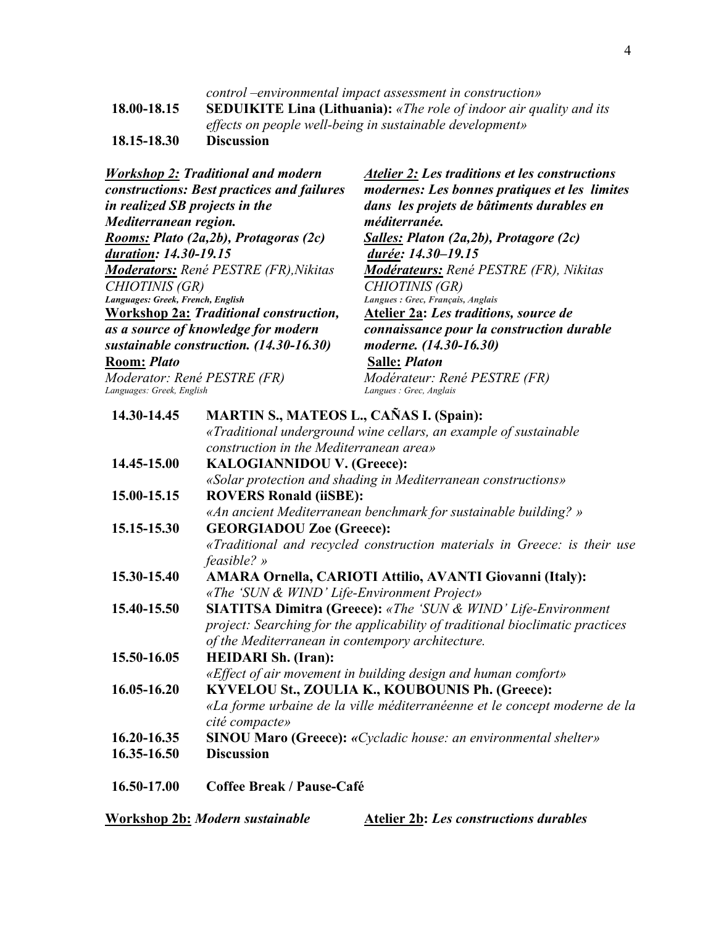*control –environmental impact assessment in construction»* **18.00-18.15 SEDUIKITE Lina (Lithuania):** *«The role of indoor air quality and its effects on people well-being in sustainable development»* **18.15-18.30 Discussion** 

*Workshop 2: Traditional and modern constructions: Best practices and failures in realized SB projects in the Mediterranean region. Rooms: Plato (2a,2b), Protagoras (2c) duration: 14.30-19.15 Moderators: René PESTRE (FR),Nikitas CHIOTINIS (GR) Languages: Greek, French, English Atelier 2: Les traditions et les constructions modernes: Les bonnes pratiques et les limites dans les projets de bâtiments durables en méditerranée. Salles: Platon (2a,2b), Protagore (2c) durée: 14.30–19.15 Modérateurs: René PESTRE (FR), Nikitas CHIOTINIS (GR) Langues : Grec, Français, Anglais*  **Workshop 2a:** *Traditional construction, as a source of knowledge for modern sustainable construction. (14.30-16.30)* **Room:** *Plato Moderator: René PESTRE (FR)* **Atelier 2a:** *Les traditions, source de connaissance pour la construction durable moderne. (14.30-16.30)*  **Salle:** *Platon Modérateur: René PESTRE (FR) Languages: Greek, English Langues : Grec, Anglais* **14.30-14.45 MARTIN S., MATEOS L., CAÑAS I. (Spain):**  *«Traditional underground wine cellars, an example of sustainable construction in the Mediterranean area»* **14.45-15.00 KALOGIANNIDOU V. (Greece):**  *«Solar protection and shading in Mediterranean constructions»*  **15.00-15.15 ROVERS Ronald (iiSBE):**  *«An ancient Mediterranean benchmark for sustainable building? »* **15.15-15.30 GEORGIADOU Zoe (Greece):**  *«Traditional and recycled construction materials in Greece: is their use feasible? »*  **15.30-15.40 AMARA Ornella, CARIOTI Attilio, AVANTI Giovanni (Italy):**  *«The 'SUN & WIND' Life-Environment Project»* **15.40-15.50 SIATITSA Dimitra (Greece):** *«The 'SUN & WIND' Life-Environment project: Searching for the applicability of traditional bioclimatic practices of the Mediterranean in contempory architecture.* **15.50-16.05 HEIDARI Sh. (Iran):**  *«Effect of air movement in building design and human comfort»* **16.05-16.20 KYVELOU St., ZOULIA K., KOUBOUNIS Ph. (Greece):**  *«La forme urbaine de la ville méditerranéenne et le concept moderne de la cité compacte»* **16.20-16.35 SINOU Maro (Greece):** *«Cycladic house: an environmental shelter»*

- **16.35-16.50 Discussion**
- **16.50-17.00 Coffee Break / Pause-Café**

**Workshop 2b:** *Modern sustainable* **Atelier 2b:** *Les constructions durables*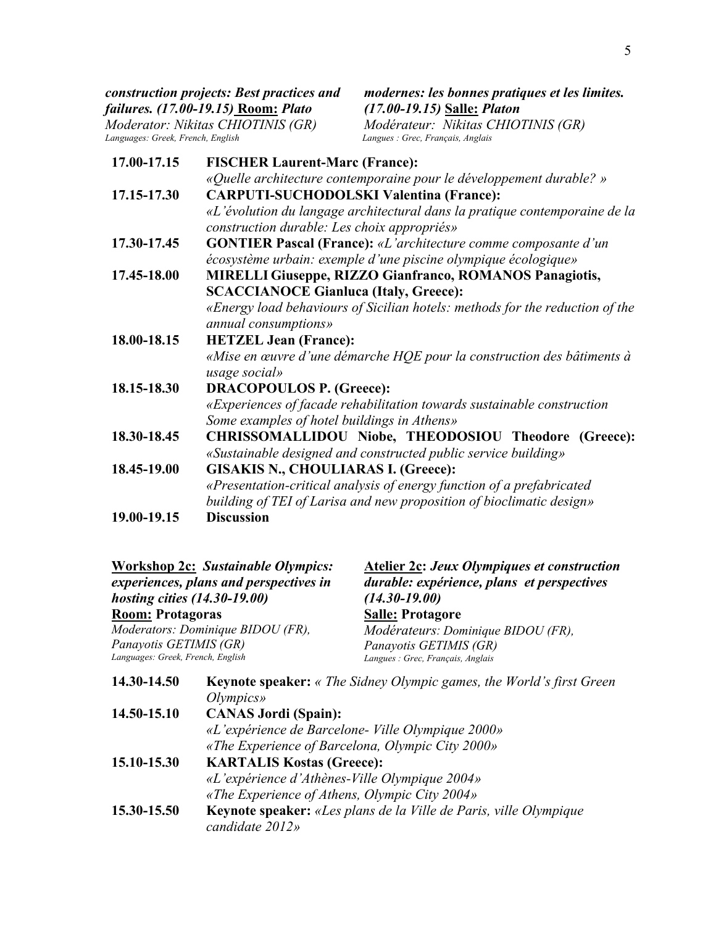*Moderator: Nikitas CHIOTINIS (GR) Languages: Greek, French, English Langues : Grec, Français, Anglais* 

*modernes: les bonnes pratiques et les limites. (17.00-19.15)* **Salle:** *Platon Modérateur: Nikitas CHIOTINIS (GR)*

| 17.00-17.15 | <b>FISCHER Laurent-Marc (France):</b>                                        |
|-------------|------------------------------------------------------------------------------|
|             | «Quelle architecture contemporaine pour le développement durable? »          |
| 17.15-17.30 | <b>CARPUTI-SUCHODOLSKI Valentina (France):</b>                               |
|             | «L'évolution du langage architectural dans la pratique contemporaine de la   |
|             | construction durable: Les choix appropriés»                                  |
| 17.30-17.45 | <b>GONTIER Pascal (France):</b> «L'architecture comme composante d'un        |
|             | écosystème urbain: exemple d'une piscine olympique écologique»               |
| 17.45-18.00 | MIRELLI Giuseppe, RIZZO Gianfranco, ROMANOS Panagiotis,                      |
|             | <b>SCACCIANOCE Gianluca (Italy, Greece):</b>                                 |
|             | «Energy load behaviours of Sicilian hotels: methods for the reduction of the |
|             | annual consumptions»                                                         |
| 18.00-18.15 | <b>HETZEL Jean (France):</b>                                                 |
|             | «Mise en œuvre d'une démarche HQE pour la construction des bâtiments à       |
|             | usage social»                                                                |
| 18.15-18.30 | <b>DRACOPOULOS P. (Greece):</b>                                              |
|             | «Experiences of facade rehabilitation towards sustainable construction       |
|             | Some examples of hotel buildings in Athens»                                  |
| 18.30-18.45 | CHRISSOMALLIDOU Niobe, THEODOSIOU Theodore (Greece):                         |
|             | «Sustainable designed and constructed public service building»               |
| 18.45-19.00 | <b>GISAKIS N., CHOULIARAS I. (Greece):</b>                                   |
|             | «Presentation-critical analysis of energy function of a prefabricated        |
|             | building of TEI of Larisa and new proposition of bioclimatic design»         |
| 19.00-19.15 | <b>Discussion</b>                                                            |

| hosting cities (14.30-19.00)                                | <b>Workshop 2c: Sustainable Olympics:</b><br>experiences, plans and perspectives in | <b>Atelier 2c: Jeux Olympiques et construction</b><br>durable: expérience, plans et perspectives<br>$(14.30 - 19.00)$ |
|-------------------------------------------------------------|-------------------------------------------------------------------------------------|-----------------------------------------------------------------------------------------------------------------------|
| <b>Room: Protagoras</b>                                     |                                                                                     | <b>Salle: Protagore</b>                                                                                               |
|                                                             | Moderators: Dominique BIDOU (FR),                                                   | Modérateurs: Dominique BIDOU (FR),                                                                                    |
| Panayotis GETIMIS (GR)<br>Languages: Greek, French, English |                                                                                     | Panayotis GETIMIS (GR)<br>Langues : Grec, Français, Anglais                                                           |
| 14.30-14.50                                                 | Olympics                                                                            | <b>Keynote speaker:</b> « The Sidney Olympic games, the World's first Green                                           |
| 14.50-15.10                                                 | <b>CANAS Jordi (Spain):</b>                                                         |                                                                                                                       |
|                                                             |                                                                                     | «L'expérience de Barcelone-Ville Olympique 2000»                                                                      |
|                                                             |                                                                                     | «The Experience of Barcelona, Olympic City 2000»                                                                      |
| 15.10-15.30                                                 | <b>KARTALIS Kostas (Greece):</b>                                                    |                                                                                                                       |
|                                                             | «L'expérience d'Athènes-Ville Olympique 2004»                                       |                                                                                                                       |
|                                                             | «The Experience of Athens, Olympic City 2004»                                       |                                                                                                                       |
| 15.30-15.50                                                 | candidate 2012»                                                                     | <b>Keynote speaker:</b> «Les plans de la Ville de Paris, ville Olympique                                              |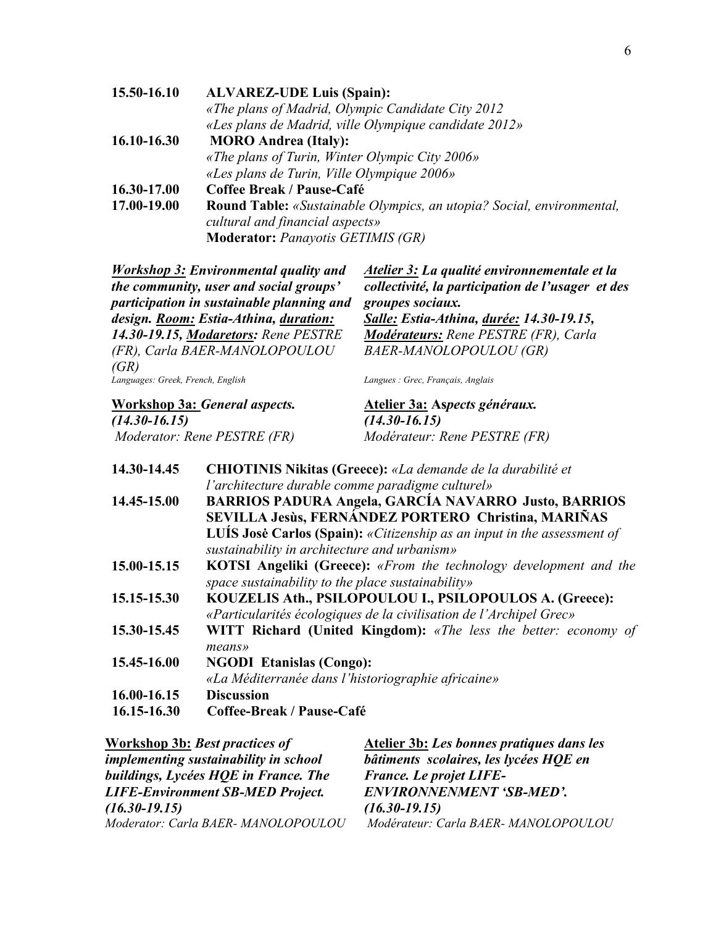| 15.50-16.10 | <b>ALVAREZ-UDE Luis (Spain):</b>                                             |
|-------------|------------------------------------------------------------------------------|
|             | «The plans of Madrid, Olympic Candidate City 2012                            |
|             | «Les plans de Madrid, ville Olympique candidate 2012»                        |
| 16.10-16.30 | <b>MORO Andrea (Italy):</b>                                                  |
|             | «The plans of Turin, Winter Olympic City $2006$ »                            |
|             | «Les plans de Turin, Ville Olympique 2006»                                   |
| 16.30-17.00 | Coffee Break / Pause-Café                                                    |
| 17.00-19.00 | <b>Round Table:</b> «Sustainable Olympics, an utopia? Social, environmental, |
|             | cultural and financial aspects»                                              |
|             | <b>Moderator:</b> Panayotis GETIMIS (GR)                                     |

| <b>Workshop 3: Environmental quality and</b><br>the community, user and social groups'<br>participation in sustainable planning and | Atelier 3: La qualité environnementale et la<br>collectivité, la participation de l'usager et des<br>groupes sociaux. |
|-------------------------------------------------------------------------------------------------------------------------------------|-----------------------------------------------------------------------------------------------------------------------|
| design. Room: Estia-Athina, duration:                                                                                               | <b>Salle: Estia-Athina, durée: 14.30-19.15,</b>                                                                       |
| 14.30-19.15, Modaretors: Rene PESTRE                                                                                                | <b>Modérateurs:</b> Rene PESTRE (FR), Carla                                                                           |
| (FR), Carla BAER-MANOLOPOULOU                                                                                                       | BAER-MANOLOPOULOU (GR)                                                                                                |
| (GR)                                                                                                                                |                                                                                                                       |
| Languages: Greek, French, English                                                                                                   | Langues : Grec, Français, Anglais                                                                                     |

**Workshop 3a:** *General aspects. (14.30-16.15)* 

*Moderator: Rene PESTRE (FR)*

**Atelier 3a: As***pects généraux. (14.30-16.15) Modérateur: Rene PESTRE (FR)*

| 14.30-14.45 | CHIOTINIS Nikitas (Greece): «La demande de la durabilité et                                                                   |
|-------------|-------------------------------------------------------------------------------------------------------------------------------|
|             | l'architecture durable comme paradigme culturel»                                                                              |
| 14.45-15.00 | <b>BARRIOS PADURA Angela, GARCÍA NAVARRO Justo, BARRIOS</b><br>SEVILLA Jesùs, FERNÁNDEZ PORTERO Christina, MARIÑAS            |
|             | LUIS José Carlos (Spain): «Citizenship as an input in the assessment of<br>sustainability in architecture and urbanism»       |
| 15.00-15.15 | <b>KOTSI Angeliki (Greece):</b> «From the technology development and the<br>space sustainability to the place sustainability» |
| 15.15-15.30 | KOUZELIS Ath., PSILOPOULOU I., PSILOPOULOS A. (Greece):<br>«Particularités écologiques de la civilisation de l'Archipel Grec» |
| 15.30-15.45 | <b>WITT Richard (United Kingdom):</b> «The less the better: economy of<br>means»                                              |
| 15.45-16.00 | <b>NGODI Etanislas (Congo):</b><br>«La Méditerranée dans l'historiographie africaine»                                         |
| 16.00-16.15 | <b>Discussion</b>                                                                                                             |
| 16.15-16.30 | Coffee-Break / Pause-Café                                                                                                     |

| Workshop 3b: Best practices of               | Atelier 3b: Les bonnes pratiques dans les |
|----------------------------------------------|-------------------------------------------|
| <i>implementing sustainability in school</i> | bâtiments scolaires, les lycées HQE en    |
| buildings, Lycées HQE in France. The         | <b>France.</b> Le projet LIFE-            |
| <b>LIFE-Environment SB-MED Project.</b>      | ENVIRONNENMENT 'SB-MED'.                  |
| $(16.30 - 19.15)$                            | $(16.30 - 19.15)$                         |
| Moderator: Carla BAER-MANOLOPOULOU           | Modérateur: Carla BAER-MANOLOPOULOU       |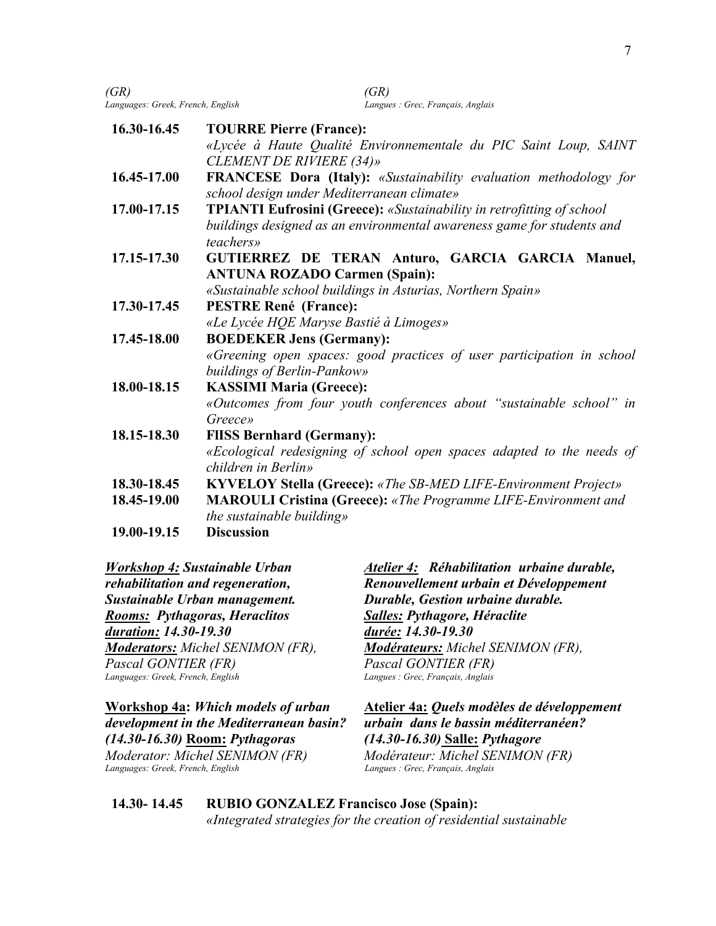| (GR)<br>Languages: Greek, French, English | (GR)<br>Langues : Grec, Français, Anglais                                                                                                                           |
|-------------------------------------------|---------------------------------------------------------------------------------------------------------------------------------------------------------------------|
| 16.30-16.45                               | <b>TOURRE Pierre (France):</b><br>«Lycée à Haute Qualité Environnementale du PIC Saint Loup, SAINT<br><b>CLEMENT DE RIVIERE (34)»</b>                               |
| 16.45-17.00                               | FRANCESE Dora (Italy): «Sustainability evaluation methodology for<br>school design under Mediterranean climate»                                                     |
| 17.00-17.15                               | <b>TPIANTI Eufrosini (Greece):</b> «Sustainability in retrofitting of school<br>buildings designed as an environmental awareness game for students and<br>teachers» |
| 17.15-17.30                               | GUTIERREZ DE TERAN Anturo, GARCIA GARCIA Manuel,<br><b>ANTUNA ROZADO Carmen (Spain):</b><br>«Sustainable school buildings in Asturias, Northern Spain»              |
| 17.30-17.45                               | <b>PESTRE René (France):</b><br>«Le Lycée HQE Maryse Bastié à Limoges»                                                                                              |
| 17.45-18.00                               | <b>BOEDEKER Jens (Germany):</b><br>«Greening open spaces: good practices of user participation in school<br>buildings of Berlin-Pankow»                             |
| 18.00-18.15                               | <b>KASSIMI Maria (Greece):</b><br>«Outcomes from four youth conferences about "sustainable school" in<br>Greece»                                                    |
| 18.15-18.30                               | <b>FIISS Bernhard (Germany):</b><br>«Ecological redesigning of school open spaces adapted to the needs of<br>children in Berlin»                                    |
| 18.30-18.45                               | <b>KYVELOY Stella (Greece):</b> «The SB-MED LIFE-Environment Project»                                                                                               |
| 18.45-19.00                               | <b>MAROULI Cristina (Greece):</b> «The Programme LIFE-Environment and<br>the sustainable building»                                                                  |
| 19.00-19.15                               | <b>Discussion</b>                                                                                                                                                   |
|                                           |                                                                                                                                                                     |

*Workshop 4: Sustainable Urban rehabilitation and regeneration, Sustainable Urban management. Rooms: Pythagoras, Heraclitos duration: 14.30-19.30 Moderators: Michel SENIMON (FR), Pascal GONTIER (FR) Languages: Greek, French, English* 

**Workshop 4a:** *Which models of urban development in the Mediterranean basin? (14.30-16.30)* **Room:** *Pythagoras* 

*Moderator: Michel SENIMON (FR) Languages: Greek, French, English Langues : Grec, Français, Anglais* 

*Atelier 4: Réhabilitation urbaine durable, Renouvellement urbain et Développement Durable, Gestion urbaine durable. Salles: Pythagore, Héraclite durée: 14.30-19.30 Modérateurs: Michel SENIMON (FR), Pascal GONTIER (FR) Langues : Grec, Français, Anglais*

**Atelier 4a:** *Quels modèles de développement urbain dans le bassin méditerranéen? (14.30-16.30)* **Salle:** *Pythagore Modérateur: Michel SENIMON (FR)*

**14.30- 14.45 RUBIO GONZALEZ Francisco Jose (Spain):**  *«Integrated strategies for the creation of residential sustainable*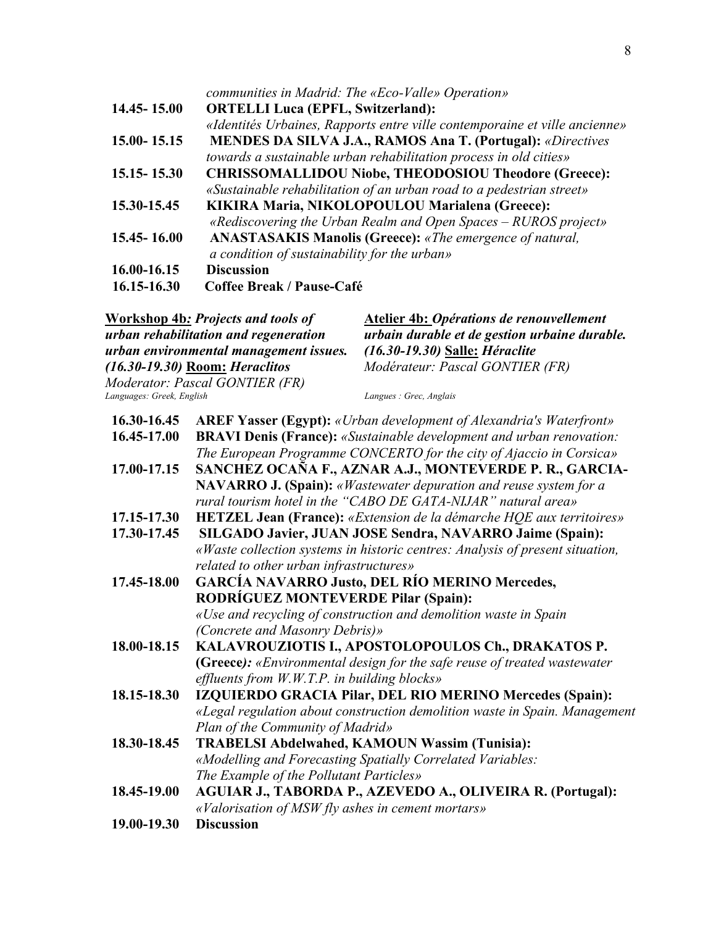|                 | communities in Madrid: The «Eco-Valle» Operation»                          |
|-----------------|----------------------------------------------------------------------------|
| 14.45 - 15.00   | <b>ORTELLI Luca (EPFL, Switzerland):</b>                                   |
|                 | «Identités Urbaines, Rapports entre ville contemporaine et ville ancienne» |
| 15.00 - 15.15   | <b>MENDES DA SILVA J.A., RAMOS Ana T. (Portugal): «Directives</b>          |
|                 | towards a sustainable urban rehabilitation process in old cities»          |
| $15.15 - 15.30$ | <b>CHRISSOMALLIDOU Niobe, THEODOSIOU Theodore (Greece):</b>                |
|                 | «Sustainable rehabilitation of an urban road to a pedestrian street»       |
| 15.30-15.45     | KIKIRA Maria, NIKOLOPOULOU Marialena (Greece):                             |
|                 | «Rediscovering the Urban Realm and Open Spaces $-$ RUROS project»          |
| 15.45 - 16.00   | <b>ANASTASAKIS Manolis (Greece):</b> «The emergence of natural,            |
|                 | a condition of sustainability for the urban»                               |
| 16.00-16.15     | <b>Discussion</b>                                                          |
| 16.15-16.30     | Coffee Break / Pause-Café                                                  |

|                           | <b>Workshop 4b: Projects and tools of</b>                        | <b>Atelier 4b: Opérations de renouvellement</b>                               |
|---------------------------|------------------------------------------------------------------|-------------------------------------------------------------------------------|
|                           | urban rehabilitation and regeneration                            | urbain durable et de gestion urbaine durable.                                 |
|                           | urban environmental management issues.                           | (16.30-19.30) Salle: Héraclite<br>Modérateur: Pascal GONTIER (FR)             |
|                           | (16.30-19.30) Room: Heraclitos<br>Moderator: Pascal GONTIER (FR) |                                                                               |
| Languages: Greek, English |                                                                  | Langues : Grec, Anglais                                                       |
| 16.30-16.45               |                                                                  | <b>AREF Yasser (Egypt):</b> «Urban development of Alexandria's Waterfront»    |
| 16.45-17.00               |                                                                  | <b>BRAVI Denis (France):</b> «Sustainable development and urban renovation:   |
|                           |                                                                  | The European Programme CONCERTO for the city of Ajaccio in Corsica»           |
| 17.00-17.15               |                                                                  | SANCHEZ OCAÑA F., AZNAR A.J., MONTEVERDE P. R., GARCIA-                       |
|                           |                                                                  | NAVARRO J. (Spain): «Wastewater depuration and reuse system for a             |
|                           |                                                                  | rural tourism hotel in the "CABO DE GATA-NIJAR" natural area»                 |
| 17.15-17.30               |                                                                  | <b>HETZEL Jean (France):</b> «Extension de la démarche HQE aux territoires»   |
| 17.30-17.45               | SILGADO Javier, JUAN JOSE Sendra, NAVARRO Jaime (Spain):         |                                                                               |
|                           |                                                                  | «Waste collection systems in historic centres: Analysis of present situation, |
|                           | related to other urban infrastructures»                          |                                                                               |
| 17.45-18.00               | GARCÍA NAVARRO Justo, DEL RÍO MERINO Mercedes,                   |                                                                               |
|                           | <b>RODRÍGUEZ MONTEVERDE Pilar (Spain):</b>                       |                                                                               |
|                           |                                                                  | «Use and recycling of construction and demolition waste in Spain              |
|                           | (Concrete and Masonry Debris)»                                   |                                                                               |
| 18.00-18.15               |                                                                  | KALAVROUZIOTIS I., APOSTOLOPOULOS Ch., DRAKATOS P.                            |
|                           |                                                                  | (Greece): «Environmental design for the safe reuse of treated wastewater      |
|                           | effluents from $W.W.T.P.$ in building blocks»                    |                                                                               |
| 18.15-18.30               |                                                                  | IZQUIERDO GRACIA Pilar, DEL RIO MERINO Mercedes (Spain):                      |
|                           |                                                                  | «Legal regulation about construction demolition waste in Spain. Management    |
|                           | Plan of the Community of Madrid»                                 |                                                                               |
| 18.30-18.45               |                                                                  | <b>TRABELSI Abdelwahed, KAMOUN Wassim (Tunisia):</b>                          |
|                           |                                                                  | «Modelling and Forecasting Spatially Correlated Variables:                    |
|                           | The Example of the Pollutant Particles»                          |                                                                               |
| 18.45-19.00               |                                                                  | AGUIAR J., TABORDA P., AZEVEDO A., OLIVEIRA R. (Portugal):                    |
|                           | «Valorisation of MSW fly ashes in cement mortars»                |                                                                               |
| 19.00-19.30               | <b>Discussion</b>                                                |                                                                               |
|                           |                                                                  |                                                                               |
|                           |                                                                  |                                                                               |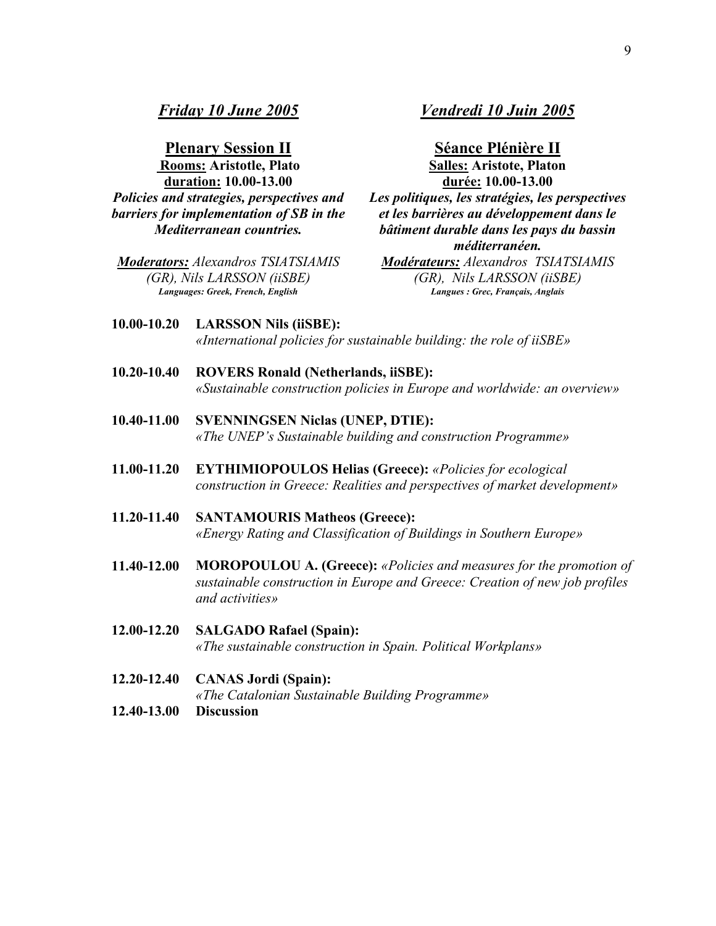**Plenary Session II Rooms: Aristotle, Plato duration: 10.00-13.00** *Policies and strategies, perspectives and barriers for implementation of SB in the Mediterranean countries.*

*Moderators: Alexandros TSIATSIAMIS (GR), Nils LARSSON (iiSBE) Languages: Greek, French, English* 

# *Vendredi 10 Juin 2005*

**Séance Plénière II Salles: Aristote, Platon durée: 10.00-13.00** 

*Les politiques, les stratégies, les perspectives et les barrières au développement dans le bâtiment durable dans les pays du bassin méditerranéen.* 

*Modérateurs: Alexandros TSIATSIAMIS (GR), Nils LARSSON (iiSBE) Langues : Grec, Français, Anglais* 

- **10.00-10.20 LARSSON Nils (iiSBE):**  *«International policies for sustainable building: the role of iiSBE»*
- **10.20-10.40 ROVERS Ronald (Netherlands, iiSBE):**  *«Sustainable construction policies in Europe and worldwide: an overview»*
- **10.40-11.00 SVENNINGSEN Niclas (UNEP, DTIE):**  *«The UNEP's Sustainable building and construction Programme»*
- **11.00-11.20 EYTHIMIOPOULOS Helias (Greece):** *«Policies for ecological construction in Greece: Realities and perspectives of market development»*
- **11.20-11.40 SANTAMOURIS Matheos (Greece):** *«Energy Rating and Classification of Buildings in Southern Europe»*
- **11.40-12.00 MOROPOULOU A. (Greece):** *«Policies and measures for the promotion of sustainable construction in Europe and Greece: Creation of new job profiles and activities»*
- **12.00-12.20 SALGADO Rafael (Spain):**  *«The sustainable construction in Spain. Political Workplans»*
- **12.20-12.40 CANAS Jordi (Spain):**

*«The Catalonian Sustainable Building Programme»* 

**12.40-13.00 Discussion**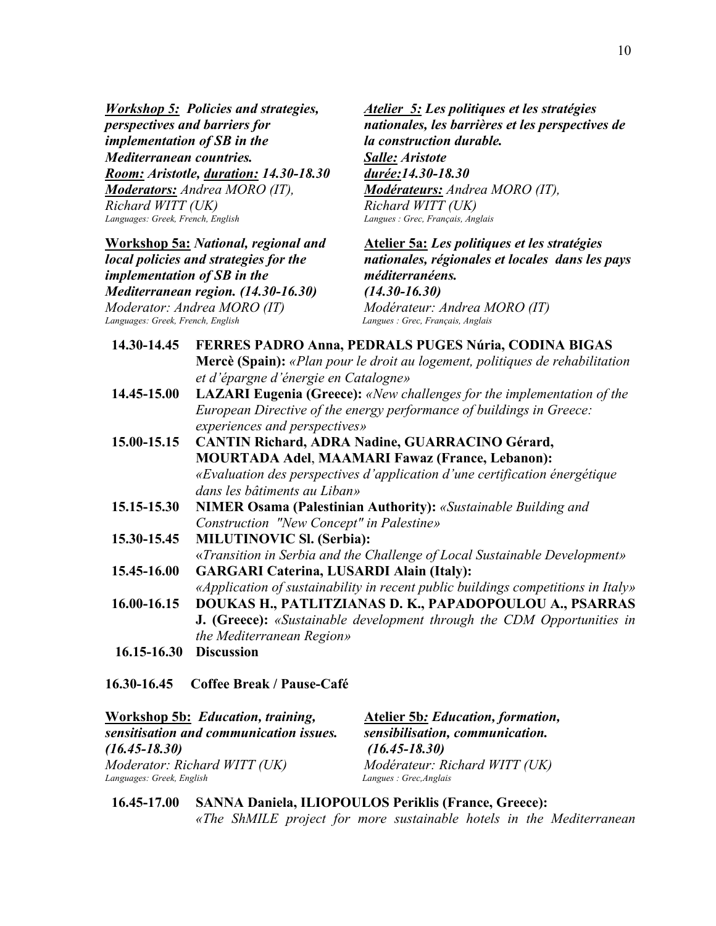*Workshop 5: Policies and strategies, perspectives and barriers for implementation of SB in the Mediterranean countries. Room: Aristotle, duration: 14.30-18.30 Moderators: Andrea MORO (IT), Richard WITT (UK) Languages: Greek, French, English* 

**Workshop 5a:** *National, regional and local policies and strategies for the implementation of SB in the Mediterranean region. (14.30-16.30) Moderator: Andrea MORO (IT) Languages: Greek, French, English Langues : Grec, Français, Anglais* 

*Atelier 5: Les politiques et les stratégies nationales, les barrières et les perspectives de la construction durable.* *Salle: Aristote durée:14.30-18.30* *Modérateurs: Andrea MORO (IT), Richard WITT (UK) Langues : Grec, Français, Anglais* 

**Atelier 5a:** *Les politiques et les stratégies nationales, régionales et locales dans les pays méditerranéens. (14.30-16.30) Modérateur: Andrea MORO (IT)*

| 14.30-14.45     | FERRES PADRO Anna, PEDRALS PUGES Núria, CODINA BIGAS                             |
|-----------------|----------------------------------------------------------------------------------|
|                 | Mercè (Spain): «Plan pour le droit au logement, politiques de rehabilitation     |
|                 | et d'épargne d'énergie en Catalogne»                                             |
| 14.45-15.00     | <b>LAZARI Eugenia (Greece):</b> «New challenges for the implementation of the    |
|                 | European Directive of the energy performance of buildings in Greece:             |
|                 | experiences and perspectives»                                                    |
| 15.00-15.15     | <b>CANTIN Richard, ADRA Nadine, GUARRACINO Gérard,</b>                           |
|                 | <b>MOURTADA Adel, MAAMARI Fawaz (France, Lebanon):</b>                           |
|                 | «Evaluation des perspectives d'application d'une certification énergétique       |
|                 | dans les bâtiments au Liban»                                                     |
| 15.15-15.30     | <b>NIMER Osama (Palestinian Authority):</b> «Sustainable Building and            |
|                 | Construction "New Concept" in Palestine»                                         |
| 15.30-15.45     | <b>MILUTINOVIC SI. (Serbia):</b>                                                 |
|                 | «Transition in Serbia and the Challenge of Local Sustainable Development»        |
| 15.45-16.00     | <b>GARGARI Caterina, LUSARDI Alain (Italy):</b>                                  |
|                 | «Application of sustainability in recent public buildings competitions in Italy» |
| $16.00 - 16.15$ | DOUKAS H., PATLITZIANAS D. K., PAPADOPOULOU A., PSARRAS                          |
|                 | <b>J.</b> (Greece): «Sustainable development through the CDM Opportunities in    |
|                 | the Mediterranean Region»                                                        |
| 16.15-16.30     | <b>Discussion</b>                                                                |

**16.30-16.45 Coffee Break / Pause-Café** 

| Workshop 5b: Education, training,       | <b>Atelier 5b: Education, formation,</b> |  |
|-----------------------------------------|------------------------------------------|--|
| sensitisation and communication issues. | sensibilisation, communication.          |  |
| $(16.45 - 18.30)$                       | $(16.45 - 18.30)$                        |  |
| Moderator: Richard WITT (UK)            | Modérateur: Richard WITT (UK)            |  |
| Languages: Greek, English               | Langues : Grec, Anglais                  |  |

**16.45-17.00 SANNA Daniela, ILIOPOULOS Periklis (France, Greece):**  *«The ShMILE project for more sustainable hotels in the Mediterranean*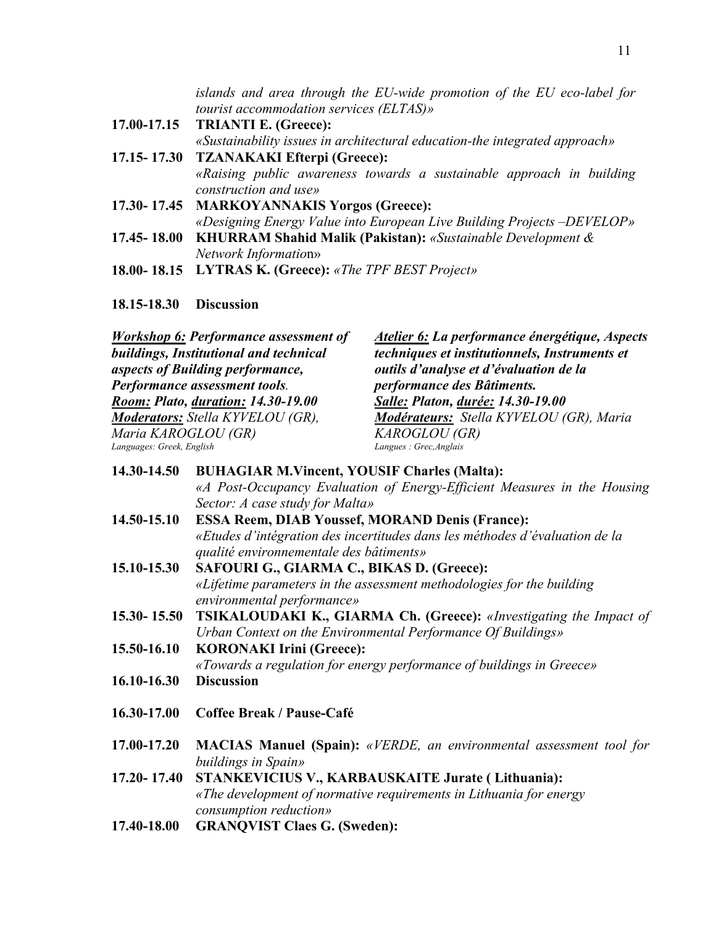*islands and area through the EU-wide promotion of the EU eco-label for tourist accommodation services (ELTAS)»*

- **17.00-17.15 TRIANTI E. (Greece):**  *«Sustainability issues in architectural education-the integrated approach»*  **17.15- 17.30 TZANAKAKI Efterpi (Greece):**  *«Raising public awareness towards a sustainable approach in building* 
	- *construction and use»*
- **17.30- 17.45 MARKOYANNAKIS Yorgos (Greece):**  *«Designing Energy Value into European Live Building Projects –DEVELOP»*  **17.45- 18.00 KHURRAM Shahid Malik (Pakistan):** *«Sustainable Development &* 
	- *Network Informatio*n»
- **18.00- 18.15 LYTRAS K. (Greece):** *«The TPF BEST Project»*

#### **18.15-18.30 Discussion**

| <b>Workshop 6: Performance assessment of</b>                      | Atelier 6: La performance énergétique, Aspects                           |
|-------------------------------------------------------------------|--------------------------------------------------------------------------|
| buildings, Institutional and technical                            | techniques et institutionnels, Instruments et                            |
| aspects of Building performance,                                  | outils d'analyse et d'évaluation de la                                   |
| Performance assessment tools.                                     | performance des Bâtiments.                                               |
| <b>Room: Plato, duration: 14.30-19.00</b>                         | Salle: Platon, durée: 14.30-19.00                                        |
| Moderators: Stella KYVELOU (GR),                                  | Modérateurs: Stella KYVELOU (GR), Maria                                  |
| Maria KAROGLOU (GR)                                               | <b>KAROGLOU</b> (GR)                                                     |
| Languages: Greek, English                                         | Langues: Grec, Anglais                                                   |
| 14.30-14.50<br><b>BUHAGIAR M.Vincent, YOUSIF Charles (Malta):</b> |                                                                          |
|                                                                   | «A Post-Occupancy Evaluation of Energy-Efficient Measures in the Housing |

|             | Sector: A case study for Malta»                                             |  |
|-------------|-----------------------------------------------------------------------------|--|
| 14.50-15.10 | <b>ESSA Reem, DIAB Youssef, MORAND Denis (France):</b>                      |  |
|             | «Etudes d'intégration des incertitudes dans les méthodes d'évaluation de la |  |
|             | qualité environnementale des bâtiments»                                     |  |
|             |                                                                             |  |

- **15.10-15.30 SAFOURI G., GIARMA C., BIKAS D. (Greece):** *«Lifetime parameters in the assessment methodologies for the building environmental performance»*
- **15.30- 15.50 TSIKALOUDAKI Κ., GIARMA Ch. (Greece):** *«Investigating the Impact of Urban Context on the Environmental Performance Of Buildings»*
- **15.50-16.10 KORONAKI Irini (Greece):**  *«Towards a regulation for energy performance of buildings in Greece»*
- **16.10-16.30 Discussion**
- **16.30-17.00 Coffee Break / Pause-Café**
- **17.00-17.20 MACIAS Manuel (Spain):** *«VERDE, an environmental assessment tool for buildings in Spain»*

**17.20- 17.40 STANKEVICIUS V., KARBAUSKAITE Jurate ( Lithuania):**  *«The development of normative requirements in Lithuania for energy consumption reduction»*

**17.40-18.00 GRANQVIST Claes G. (Sweden):**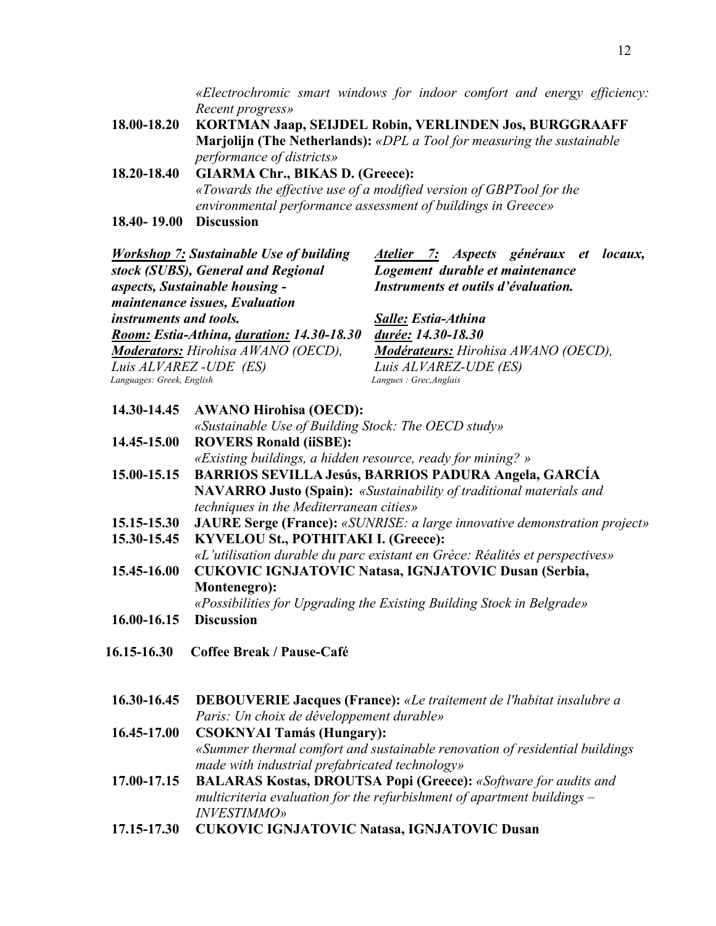*«Electrochromic smart windows for indoor comfort and energy efficiency: Recent progress»*

- **18.00-18.20 KORTMAN Jaap, SEIJDEL Robin, VERLINDEN Jos, BURGGRAAFF Marjolijn (Τhe Netherlands):** *«DPL a Tool for measuring the sustainable performance of districts»*
- **18.20-18.40 GIARMA Chr., BIKAS D. (Greece):**  *«Towards the effective use of a modified version of GBPTool for the environmental performance assessment of buildings in Greece»*
- **18.40- 19.00 Discussion**

| <b>Workshop 7: Sustainable Use of building</b> | Atelier 7: Aspects généraux et locaux, |
|------------------------------------------------|----------------------------------------|
| stock (SUBS), General and Regional             | Logement durable et maintenance        |
| aspects, Sustainable housing -                 | Instruments et outils d'évaluation.    |
| maintenance issues, Evaluation                 |                                        |
| instruments and tools.                         | Salle: Estia-Athina                    |
| Room: Estia-Athina, duration: 14.30-18.30      | durée: 14.30-18.30                     |
| <b>Moderators:</b> Hirohisa AWANO (OECD),      | Modérateurs: Hirohisa AWANO (OECD),    |
| Luis ALVAREZ - UDE (ES)                        | Luis ALVAREZ-UDE (ES)                  |
| Languages: Greek, English                      | Langues: Grec, Anglais                 |

- **14.30-14.45 AWANO Hirohisa (OECD):**  *«Sustainable Use of Building Stock: The OECD study»*
- **14.45-15.00 ROVERS Ronald (iiSBE):**  *«Existing buildings, a hidden resource, ready for mining? »* **15.00-15.15 BARRIOS SEVILLA Jesús, BARRIOS PADURA Angela, GARCÍA** 
	- **NAVARRO Justo (Spain):** *«Sustainability of traditional materials and techniques in the Mediterranean cities»*
- **15.15-15.30 JAURE Serge (France):** *«SUNRISE: a large innovative demonstration project»*
- **15.30-15.45 KYVELOU St., POTHITAKI I. (Greece):**  *«L'utilisation durable du parc existant en Grèce: Réalités et perspectives»*  **15.45-16.00 CUKOVIC IGNJATOVIC Natasa, IGNJATOVIC Dusan (Serbia, Montenegro):**

*«Possibilities for Upgrading the Existing Building Stock in Belgrade»* 

- **16.00-16.15 Discussion**
- **16.15-16.30 Coffee Break / Pause-Café**
- **16.30-16.45 DEBOUVERIE Jacques (France):** *«Le traitement de l'habitat insalubre a Paris: Un choix de développement durable»*
- **16.45-17.00 CSOKNYAI Tamás (Hungary):**  *«Summer thermal comfort and sustainable renovation of residential buildings made with industrial prefabricated technology»*
- **17.00-17.15 BALARAS Kostas, DROUTSA Popi (Greece):** *«Software for audits and multicriteria evaluation for the refurbishment of apartment buildings – INVESTIMMO»*
- **17.15-17.30 CUKOVIC IGNJATOVIC Natasa, IGNJATOVIC Dusan**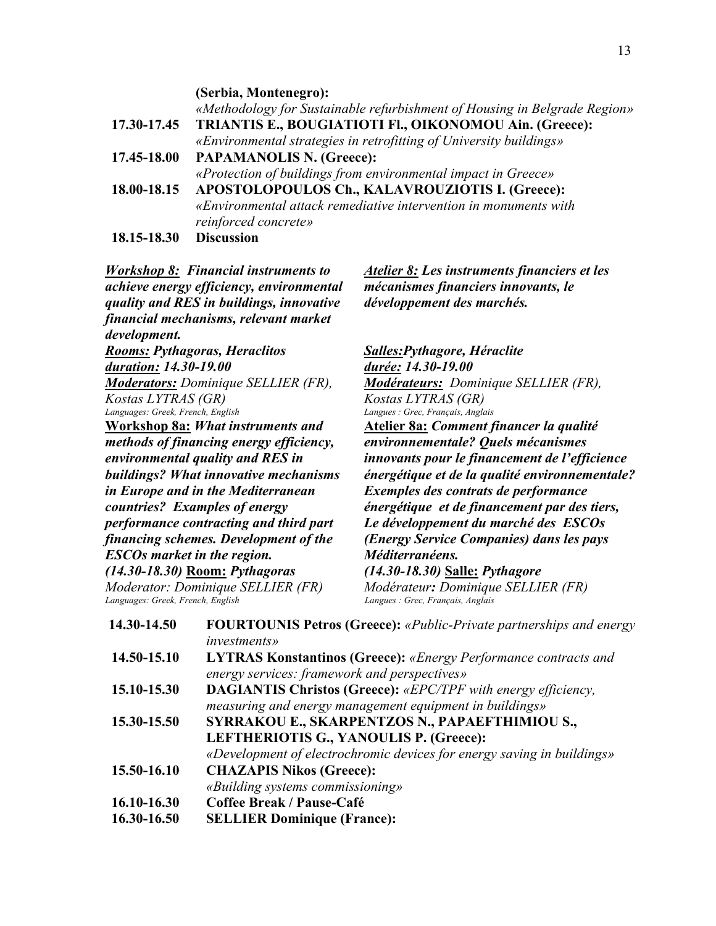**(Serbia, Montenegro):**  *«Methodology for Sustainable refurbishment of Housing in Belgrade Region»*  **17.30-17.45 TRIANTIS E., BOUGIATIOTI Fl., OIKONOMOU Ain. (Greece):**  *«Environmental strategies in retrofitting of University buildings»* **17.45-18.00 PAPAMANOLIS N. (Greece):**  *«Protection of buildings from environmental impact in Greece»*  **18.00-18.15 APOSTOLOPOULOS Ch., KALAVROUZIOTIS I. (Greece):** *«Environmental attack remediative intervention in monuments with reinforced concrete»* **18.15-18.30 Discussion** 

*Workshop 8: Financial instruments to achieve energy efficiency, environmental quality and RES in buildings, innovative financial mechanisms, relevant market development. Rooms: Pythagoras, Heraclitos duration: 14.30-19.00 Moderators: Dominique SELLIER (FR), Kostas LYTRAS (GR) Languages: Greek, French, English*  **Workshop 8a:** *What instruments and methods of financing energy efficiency, environmental quality and RES in buildings? What innovative mechanisms in Europe and in the Mediterranean countries? Examples of energy performance contracting and third part financing schemes. Development of the ESCOs market in the region. (14.30-18.30)* **Room:** *Pythagoras* 

*Moderator: Dominique SELLIER (FR) Languages: Greek, French, English Langues : Grec, Français, Anglais* 

*Atelier 8: Les instruments financiers et les mécanismes financiers innovants, le développement des marchés.* 

*Salles:Pythagore, Héraclite durée: 14.30-19.00 Modérateurs: Dominique SELLIER (FR), Kostas LYTRAS (GR) Langues : Grec, Français, Anglais* **Atelier 8a:** *Comment financer la qualité environnementale? Quels mécanismes innovants pour le financement de l'efficience énergétique et de la qualité environnementale? Exemples des contrats de performance énergétique et de financement par des tiers, Le développement du marché des ESCOs (Energy Service Companies) dans les pays Méditerranéens. (14.30-18.30)* **Salle:** *Pythagore Modérateur: Dominique SELLIER (FR)*

| 14.30-14.50 | <b>FOURTOUNIS Petros (Greece):</b> «Public-Private partnerships and energy<br><i>investments</i> » |
|-------------|----------------------------------------------------------------------------------------------------|
| 14.50-15.10 | <b>LYTRAS Konstantinos (Greece):</b> «Energy Performance contracts and                             |
|             | energy services: framework and perspectives»                                                       |
| 15.10-15.30 | <b>DAGIANTIS Christos (Greece):</b> «EPC/TPF with energy efficiency,                               |
|             | measuring and energy management equipment in buildings»                                            |
| 15.30-15.50 | SYRRAKOU E., SKARPENTZOS N., PAPAEFTHIMIOU S.,                                                     |
|             | LEFTHERIOTIS G., YANOULIS P. (Greece):                                                             |
|             | «Development of electrochromic devices for energy saving in buildings»                             |
| 15.50-16.10 | <b>CHAZAPIS Nikos (Greece):</b>                                                                    |
|             | «Building systems commissioning»                                                                   |
| 16.10-16.30 | Coffee Break / Pause-Café                                                                          |
| 16.30-16.50 | <b>SELLIER Dominique (France):</b>                                                                 |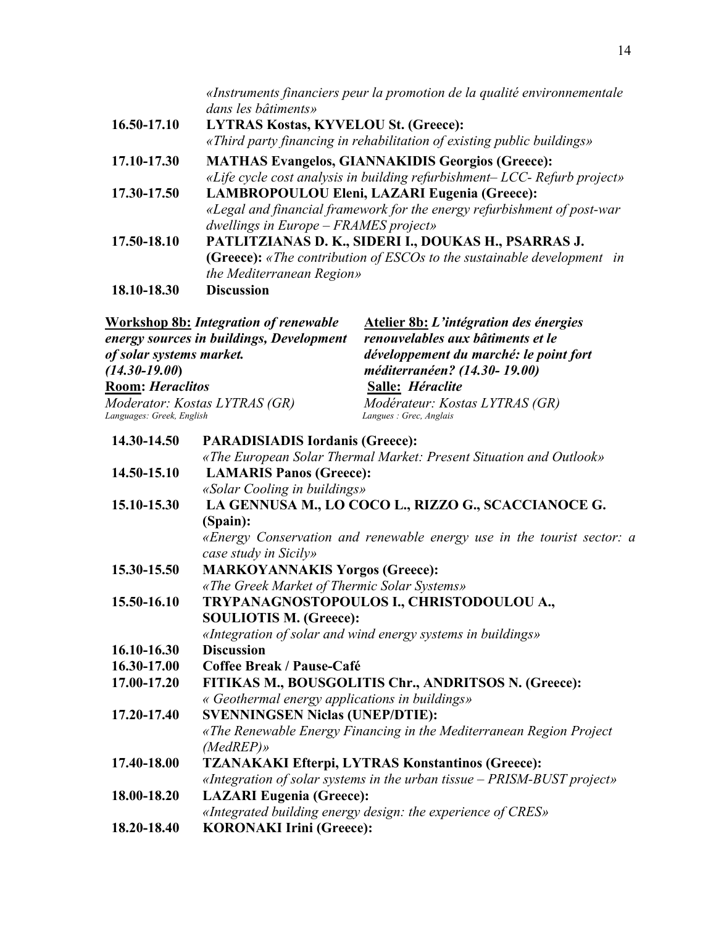|             | «Instruments financiers peur la promotion de la qualité environnementale<br>dans les bâtiments» |
|-------------|-------------------------------------------------------------------------------------------------|
| 16.50-17.10 | <b>LYTRAS Kostas, KYVELOU St. (Greece):</b>                                                     |
|             | «Third party financing in rehabilitation of existing public buildings»                          |
| 17.10-17.30 | <b>MATHAS Evangelos, GIANNAKIDIS Georgios (Greece):</b>                                         |
|             | «Life cycle cost analysis in building refurbishment- LCC- Refurb project»                       |
| 17.30-17.50 | LAMBROPOULOU Eleni, LAZARI Eugenia (Greece):                                                    |
|             | «Legal and financial framework for the energy refurbishment of post-war                         |
|             | dwellings in $Europe - FRAMES$ project»                                                         |
| 17.50-18.10 | PATLITZIANAS D. K., SIDERI I., DOUKAS H., PSARRAS J.                                            |
|             | (Greece): «The contribution of ESCOs to the sustainable development in                          |
|             | the Mediterranean Region»                                                                       |
| 18.10-18.30 | <b>Discussion</b>                                                                               |

| Workshop 8b: Integration of renewable    | Atelier 8b: L'intégration des énergies |
|------------------------------------------|----------------------------------------|
| energy sources in buildings, Development | renouvelables aux bâtiments et le      |
| of solar systems market.                 | développement du marché: le point fort |
| $(14.30 - 19.00)$                        | méditerranéen? (14.30-19.00)           |
| <b>Room: Heraclitos</b>                  | Salle: Héraclite                       |
| Moderator: Kostas LYTRAS (GR)            | Modérateur: Kostas LYTRAS (GR)         |
| Languages: Greek, English                | Langues : Grec, Anglais                |
|                                          |                                        |

# **14.30-14.50 PARADISIADIS Iordanis (Greece):** *«The European Solar Thermal Market: Present Situation and Outlook»* **14.50-15.10 LAMARIS Panos (Greece):**  *«Solar Cooling in buildings»*  **15.10-15.30 LA GENNUSA M., LO COCO L., RIZZO G., SCACCIANOCE G. (Spain):**  *«Energy Conservation and renewable energy use in the tourist sector: a case study in Sicily»* **15.30-15.50 MARKOYANNAKIS Yorgos (Greece):**  *«The Greek Market of Thermic Solar Systems»*  **15.50-16.10 TRYPANAGNOSTOPOULOS I., CHRISTODOULOU A., SOULIOTIS M. (Greece):**  *«Integration of solar and wind energy systems in buildings»* **16.10-16.30 Discussion 16.30-17.00 Coffee Break / Pause-Café 17.00-17.20 FITIKAS M., BOUSGOLITIS Chr., ANDRITSOS N. (Greece):**  *« Geothermal energy applications in buildings»*  **17.20-17.40 SVENNINGSEN Niclas (UNEP/DTIE):** *«The Renewable Energy Financing in the Mediterranean Region Project (MedREP)»*  **17.40-18.00 TZANAKAKI Efterpi, LYTRAS Konstantinos (Greece):**  *«Integration of solar systems in the urban tissue – PRISM-BUST project»*  **18.00-18.20 LAZARI Eugenia (Greece):** *«Integrated building energy design: the experience of CRES»*

**18.20-18.40 KORONAKI Irini (Greece):**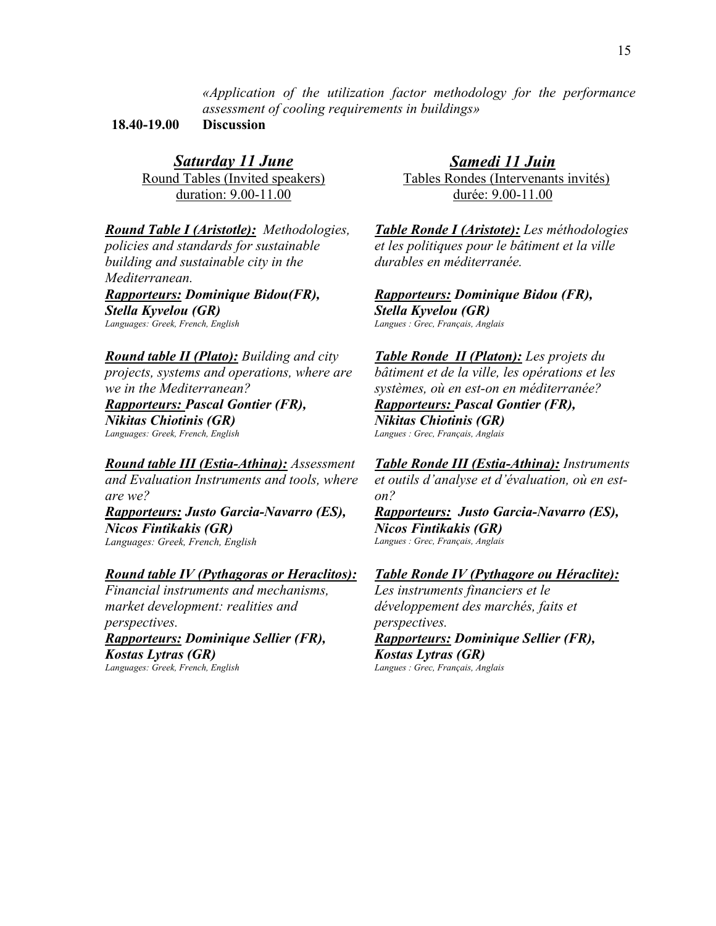*«Application of the utilization factor methodology for the performance assessment of cooling requirements in buildings»* 

**18.40-19.00 Discussion** 

*Saturday 11 June* Round Tables (Invited speakers) duration: 9.00-11.00

*Round Table I (Aristotle): Methodologies, policies and standards for sustainable building and sustainable city in the Mediterranean.* 

*Rapporteurs: Dominique Bidou(FR), Stella Kyvelou (GR) Languages: Greek, French, English*

*Round table II (Plato): Building and city projects, systems and operations, where are we in the Mediterranean?* 

*Rapporteurs: Pascal Gontier (FR), Nikitas Chiotinis (GR) Languages: Greek, French, English*

*Round table III (Estia-Athina): Assessment and Evaluation Instruments and tools, where are we? Rapporteurs: Justo Garcia-Navarro (ES), Νicos Fintikakis (GR) Languages: Greek, French, English*

## *Round table IV (Pythagoras or Heraclitos):*

*Financial instruments and mechanisms, market development: realities and perspectives. Rapporteurs: Dominique Sellier (FR), Kostas Lytras (GR)* 

*Languages: Greek, French, English*

*Samedi 11 Juin* Tables Rondes (Intervenants invités) durée: 9.00-11.00

*Table Ronde I (Aristote): Les méthodologies et les politiques pour le bâtiment et la ville durables en méditerranée.* 

*Rapporteurs: Dominique Bidou (FR), Stella Kyvelou (GR) Langues : Grec, Français, Anglais*

*Table Ronde II (Platon): Les projets du bâtiment et de la ville, les opérations et les systèmes, où en est-on en méditerranée?*

*Rapporteurs: Pascal Gontier (FR), Nikitas Chiotinis (GR) Langues : Grec, Français, Anglais*

*Table Ronde III (Estia-Athina): Instruments et outils d'analyse et d'évaluation, où en eston?* 

*Rapporteurs: Justo Garcia-Navarro (ES), Νicos Fintikakis (GR) Langues : Grec, Français, Anglais*

### *Table Ronde IV (Pythagore ou Héraclite):*

*Les instruments financiers et le développement des marchés, faits et perspectives.* 

*Rapporteurs: Dominique Sellier (FR), Κostas Lytras (GR) Langues : Grec, Français, Anglais*